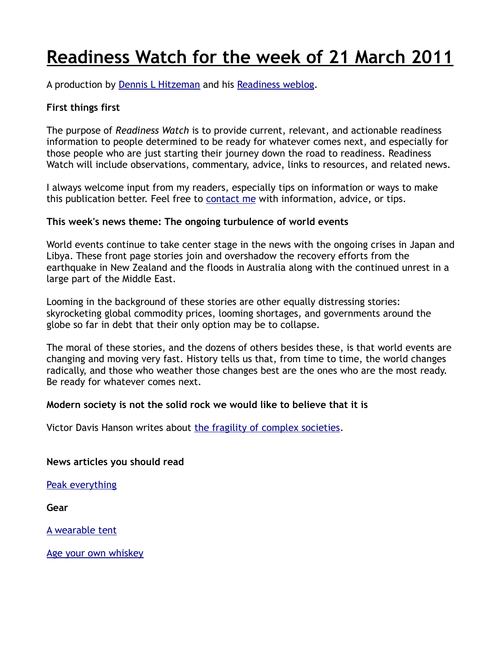# **Readiness Watch for the week of 21 March 2011**

A production by [Dennis L Hitzeman](http://dennis.hitzeman.com/readiness/contact/) and his [Readiness weblog.](http://dennis.hitzeman.com/readiness)

## **First things first**

The purpose of *Readiness Watch* is to provide current, relevant, and actionable readiness information to people determined to be ready for whatever comes next, and especially for those people who are just starting their journey down the road to readiness. Readiness Watch will include observations, commentary, advice, links to resources, and related news.

I always welcome input from my readers, especially tips on information or ways to make this publication better. Feel free to [contact me](http://dennis.hitzeman.com/readiness/contact/) with information, advice, or tips.

### **This week's news theme: The ongoing turbulence of world events**

World events continue to take center stage in the news with the ongoing crises in Japan and Libya. These front page stories join and overshadow the recovery efforts from the earthquake in New Zealand and the floods in Australia along with the continued unrest in a large part of the Middle East.

Looming in the background of these stories are other equally distressing stories: skyrocketing global commodity prices, looming shortages, and governments around the globe so far in debt that their only option may be to collapse.

The moral of these stories, and the dozens of others besides these, is that world events are changing and moving very fast. History tells us that, from time to time, the world changes radically, and those who weather those changes best are the ones who are the most ready. Be ready for whatever comes next.

### **Modern society is not the solid rock we would like to believe that it is**

Victor Davis Hanson writes about [the fragility of complex societies.](http://pajamasmedia.com/victordavishanson/the-fragility-of-complex-societies/%20)

**News articles you should read**

[Peak everything](http://www.treehugger.com/files/2008/05/peak-everything-8-things-we-are-running-out-of.php%20)

**Gear**

[A wearable tent](http://jakpak.com/home.aspx%20)

[Age your own whiskey](http://www.woodinvillewhiskeyco.com/products/age-your-own-whiskey-kit/%20)